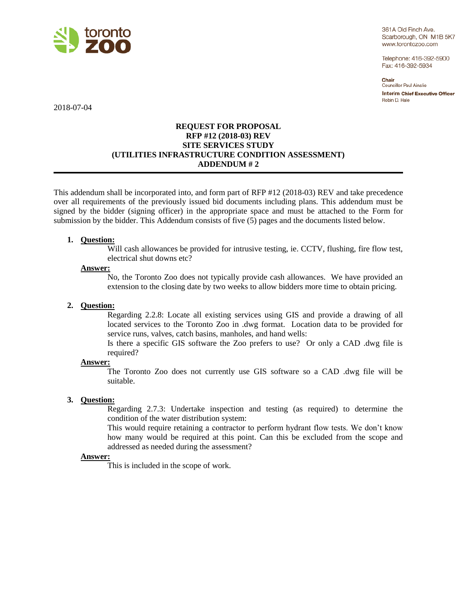

361A Old Finch Ave. Scarborough, ON M1B 5K7 www.torontozoo.com

Telephone: 416-392-5900 Fax: 416-392-5934

Chair Councillor Paul Ainslie **Interim Chief Executive Officer** Robin D. Hale

2018-07-04

## **REQUEST FOR PROPOSAL RFP #12 (2018-03) REV SITE SERVICES STUDY (UTILITIES INFRASTRUCTURE CONDITION ASSESSMENT) ADDENDUM # 2**

This addendum shall be incorporated into, and form part of RFP #12 (2018-03) REV and take precedence over all requirements of the previously issued bid documents including plans. This addendum must be signed by the bidder (signing officer) in the appropriate space and must be attached to the Form for submission by the bidder. This Addendum consists of five (5) pages and the documents listed below.

## **1. Question:**

Will cash allowances be provided for intrusive testing, ie. CCTV, flushing, fire flow test, electrical shut downs etc?

## **Answer:**

No, the Toronto Zoo does not typically provide cash allowances. We have provided an extension to the closing date by two weeks to allow bidders more time to obtain pricing.

## **2. Question:**

Regarding 2.2.8: Locate all existing services using GIS and provide a drawing of all located services to the Toronto Zoo in .dwg format. Location data to be provided for service runs, valves, catch basins, manholes, and hand wells:

Is there a specific GIS software the Zoo prefers to use? Or only a CAD .dwg file is required?

#### **Answer:**

The Toronto Zoo does not currently use GIS software so a CAD .dwg file will be suitable.

## **3. Question:**

Regarding 2.7.3: Undertake inspection and testing (as required) to determine the condition of the water distribution system:

This would require retaining a contractor to perform hydrant flow tests. We don't know how many would be required at this point. Can this be excluded from the scope and addressed as needed during the assessment?

#### **Answer:**

This is included in the scope of work.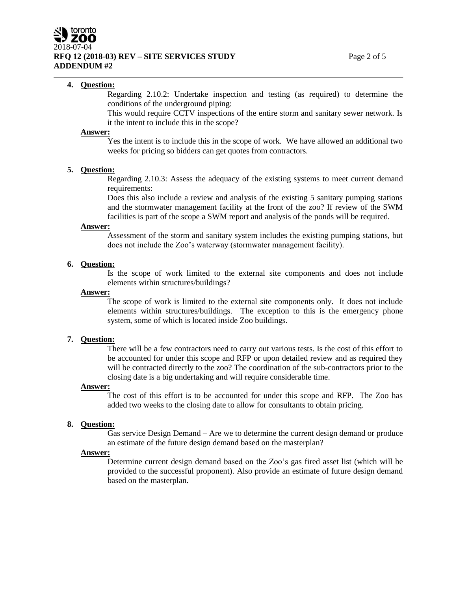## **4. Question:**

Regarding 2.10.2: Undertake inspection and testing (as required) to determine the conditions of the underground piping:

This would require CCTV inspections of the entire storm and sanitary sewer network. Is it the intent to include this in the scope?

### **Answer:**

Yes the intent is to include this in the scope of work. We have allowed an additional two weeks for pricing so bidders can get quotes from contractors.

#### **5. Question:**

Regarding 2.10.3: Assess the adequacy of the existing systems to meet current demand requirements:

Does this also include a review and analysis of the existing 5 sanitary pumping stations and the stormwater management facility at the front of the zoo? If review of the SWM facilities is part of the scope a SWM report and analysis of the ponds will be required.

#### **Answer:**

Assessment of the storm and sanitary system includes the existing pumping stations, but does not include the Zoo's waterway (stormwater management facility).

## **6. Question:**

Is the scope of work limited to the external site components and does not include elements within structures/buildings?

### **Answer:**

The scope of work is limited to the external site components only. It does not include elements within structures/buildings. The exception to this is the emergency phone system, some of which is located inside Zoo buildings.

#### **7. Question:**

There will be a few contractors need to carry out various tests. Is the cost of this effort to be accounted for under this scope and RFP or upon detailed review and as required they will be contracted directly to the zoo? The coordination of the sub-contractors prior to the closing date is a big undertaking and will require considerable time.

#### **Answer:**

The cost of this effort is to be accounted for under this scope and RFP. The Zoo has added two weeks to the closing date to allow for consultants to obtain pricing.

#### **8. Question:**

Gas service Design Demand – Are we to determine the current design demand or produce an estimate of the future design demand based on the masterplan?

#### **Answer:**

Determine current design demand based on the Zoo's gas fired asset list (which will be provided to the successful proponent). Also provide an estimate of future design demand based on the masterplan.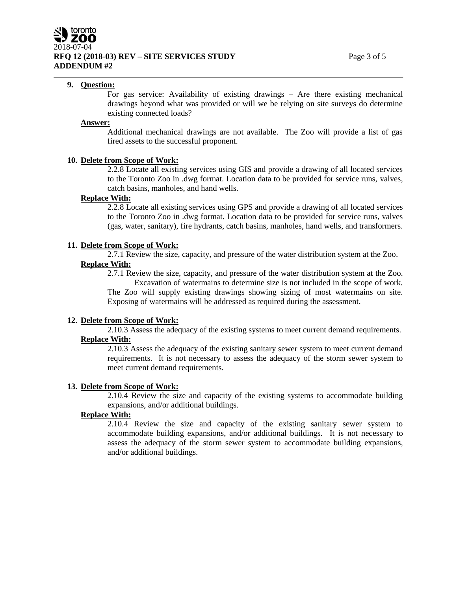## **9. Question:**

For gas service: Availability of existing drawings – Are there existing mechanical drawings beyond what was provided or will we be relying on site surveys do determine existing connected loads?

#### **Answer:**

Additional mechanical drawings are not available. The Zoo will provide a list of gas fired assets to the successful proponent.

### **10. Delete from Scope of Work:**

2.2.8 Locate all existing services using GIS and provide a drawing of all located services to the Toronto Zoo in .dwg format. Location data to be provided for service runs, valves, catch basins, manholes, and hand wells.

## **Replace With:**

2.2.8 Locate all existing services using GPS and provide a drawing of all located services to the Toronto Zoo in .dwg format. Location data to be provided for service runs, valves (gas, water, sanitary), fire hydrants, catch basins, manholes, hand wells, and transformers.

#### **11. Delete from Scope of Work:**

2.7.1 Review the size, capacity, and pressure of the water distribution system at the Zoo. **Replace With:**

2.7.1 Review the size, capacity, and pressure of the water distribution system at the Zoo. Excavation of watermains to determine size is not included in the scope of work. The Zoo will supply existing drawings showing sizing of most watermains on site. Exposing of watermains will be addressed as required during the assessment.

#### **12. Delete from Scope of Work:**

2.10.3 Assess the adequacy of the existing systems to meet current demand requirements. **Replace With:**

2.10.3 Assess the adequacy of the existing sanitary sewer system to meet current demand requirements. It is not necessary to assess the adequacy of the storm sewer system to meet current demand requirements.

#### **13. Delete from Scope of Work:**

2.10.4 Review the size and capacity of the existing systems to accommodate building expansions, and/or additional buildings.

## **Replace With:**

2.10.4 Review the size and capacity of the existing sanitary sewer system to accommodate building expansions, and/or additional buildings. It is not necessary to assess the adequacy of the storm sewer system to accommodate building expansions, and/or additional buildings.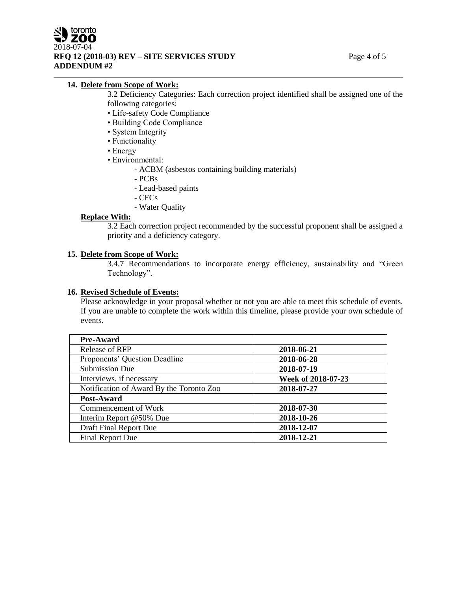## **14. Delete from Scope of Work:**

- 3.2 Deficiency Categories: Each correction project identified shall be assigned one of the following categories:
- Life-safety Code Compliance
- Building Code Compliance
- System Integrity
- Functionality
- Energy
- Environmental:
	- ACBM (asbestos containing building materials)
	- PCBs
	- Lead-based paints
	- CFCs
	- Water Quality

## **Replace With:**

3.2 Each correction project recommended by the successful proponent shall be assigned a priority and a deficiency category.

## **15. Delete from Scope of Work:**

3.4.7 Recommendations to incorporate energy efficiency, sustainability and "Green Technology".

## **16. Revised Schedule of Events:**

Please acknowledge in your proposal whether or not you are able to meet this schedule of events. If you are unable to complete the work within this timeline, please provide your own schedule of events.

| <b>Pre-Award</b>                         |                    |
|------------------------------------------|--------------------|
| Release of RFP                           | 2018-06-21         |
| Proponents' Question Deadline            | 2018-06-28         |
| <b>Submission Due</b>                    | 2018-07-19         |
| Interviews, if necessary                 | Week of 2018-07-23 |
| Notification of Award By the Toronto Zoo | 2018-07-27         |
| Post-Award                               |                    |
| Commencement of Work                     | 2018-07-30         |
| Interim Report @50% Due                  | 2018-10-26         |
| Draft Final Report Due                   | 2018-12-07         |
| Final Report Due                         | 2018-12-21         |